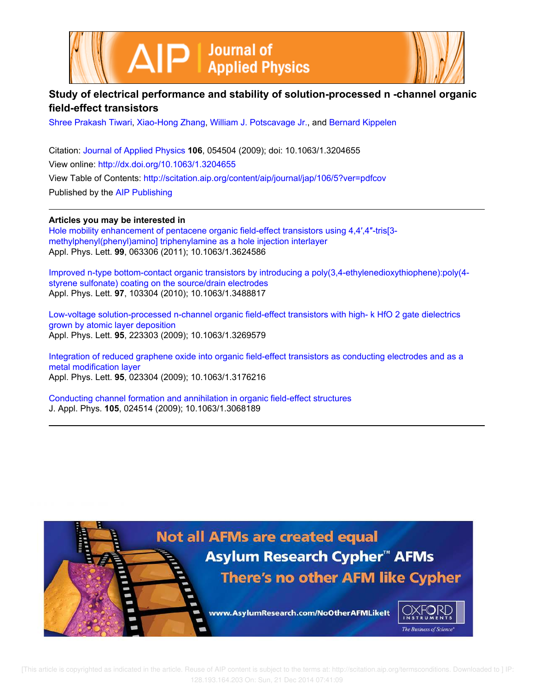



# **Study of electrical performance and stability of solution-processed n -channel organic field-effect transistors**

Shree Prakash Tiwari, Xiao-Hong Zhang, William J. Potscavage Jr., and Bernard Kippelen

Citation: Journal of Applied Physics **106**, 054504 (2009); doi: 10.1063/1.3204655 View online: http://dx.doi.org/10.1063/1.3204655 View Table of Contents: http://scitation.aip.org/content/aip/journal/jap/106/5?ver=pdfcov Published by the AIP Publishing

**Articles you may be interested in**

Hole mobility enhancement of pentacene organic field-effect transistors using 4,4',4"-tris[3methylphenyl(phenyl)amino] triphenylamine as a hole injection interlayer Appl. Phys. Lett. **99**, 063306 (2011); 10.1063/1.3624586

Improved n-type bottom-contact organic transistors by introducing a poly(3,4-ethylenedioxythiophene):poly(4 styrene sulfonate) coating on the source/drain electrodes Appl. Phys. Lett. **97**, 103304 (2010); 10.1063/1.3488817

Low-voltage solution-processed n-channel organic field-effect transistors with high- k HfO 2 gate dielectrics grown by atomic layer deposition Appl. Phys. Lett. **95**, 223303 (2009); 10.1063/1.3269579

Integration of reduced graphene oxide into organic field-effect transistors as conducting electrodes and as a metal modification layer Appl. Phys. Lett. **95**, 023304 (2009); 10.1063/1.3176216

Conducting channel formation and annihilation in organic field-effect structures J. Appl. Phys. **105**, 024514 (2009); 10.1063/1.3068189

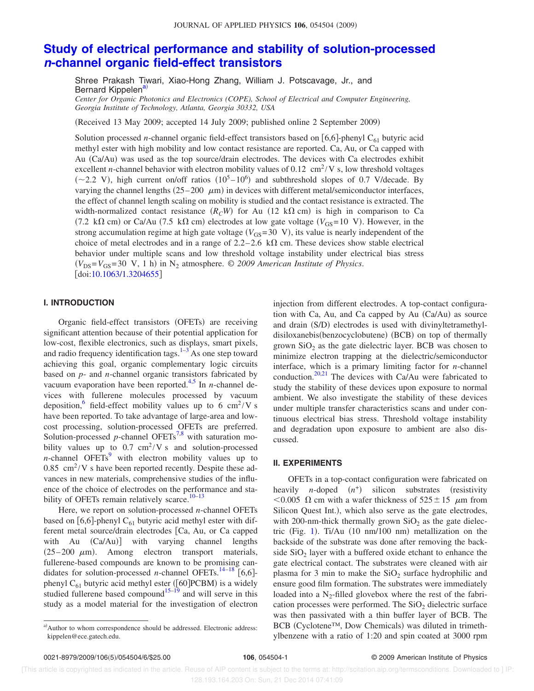# **Study of electrical performance and stability of solution-processed n-channel organic field-effect transistors**

Shree Prakash Tiwari, Xiao-Hong Zhang, William J. Potscavage, Jr., and Bernard Kippelen<sup>a)</sup>

*Center for Organic Photonics and Electronics (COPE), School of Electrical and Computer Engineering, Georgia Institute of Technology, Atlanta, Georgia 30332, USA*

Received 13 May 2009; accepted 14 July 2009; published online 2 September 2009-

Solution processed *n*-channel organic field-effect transistors based on  $[6,6]$ -phenyl C<sub>61</sub> butyric acid methyl ester with high mobility and low contact resistance are reported. Ca, Au, or Ca capped with Au (Ca/Au) was used as the top source/drain electrodes. The devices with Ca electrodes exhibit excellent *n*-channel behavior with electron mobility values of 0.12  $\text{cm}^2/\text{V}$  s, low threshold voltages  $(\sim 2.2 \text{ V})$ , high current on/off ratios  $(10^5 - 10^6)$  and subthreshold slopes of 0.7 V/decade. By varying the channel lengths  $(25-200 \mu m)$  in devices with different metal/semiconductor interfaces, the effect of channel length scaling on mobility is studied and the contact resistance is extracted. The width-normalized contact resistance  $(R<sub>C</sub>W)$  for Au (12 k $\Omega$  cm) is high in comparison to Ca (7.2 k $\Omega$  cm) or Ca/Au (7.5 k $\Omega$  cm) electrodes at low gate voltage ( $V_{GS}=10$  V). However, in the strong accumulation regime at high gate voltage  $(V_{GS}=30 \, V)$ , its value is nearly independent of the choice of metal electrodes and in a range of 2.2–2.6 k $\Omega$  cm. These devices show stable electrical behavior under multiple scans and low threshold voltage instability under electrical bias stress  $(V_{DS} = V_{GS} = 30 \text{ V}, 1 \text{ h})$  in N<sub>2</sub> atmosphere. © *2009 American Institute of Physics*. doi:10.1063/1.3204655

# **I. INTRODUCTION**

Organic field-effect transistors (OFETs) are receiving significant attention because of their potential application for low-cost, flexible electronics, such as displays, smart pixels, and radio frequency identification tags. $1-3$  As one step toward achieving this goal, organic complementary logic circuits based on *p*- and *n*-channel organic transistors fabricated by vacuum evaporation have been reported.<sup>4,5</sup> In *n*-channel devices with fullerene molecules processed by vacuum deposition, <sup>6</sup> field-effect mobility values up to 6 cm<sup>2</sup>/V s have been reported. To take advantage of large-area and lowcost processing, solution-processed OFETs are preferred. Solution-processed  $p$ -channel OFETs<sup>7,8</sup> with saturation mobility values up to  $0.7 \text{ cm}^2/V \text{ s}$  and solution-processed *n*-channel OFETs<sup>9</sup> with electron mobility values up to  $0.85$  cm<sup>2</sup>/V s have been reported recently. Despite these advances in new materials, comprehensive studies of the influence of the choice of electrodes on the performance and stability of OFETs remain relatively scarce. $10-13$ 

Here, we report on solution-processed *n*-channel OFETs based on [6,6]-phenyl  $C_{61}$  butyric acid methyl ester with different metal source/drain electrodes [Ca, Au, or Ca capped with Au (Ca/Au)] with varying channel lengths  $(25-200 \mu m)$ . Among electron transport materials, fullerene-based compounds are known to be promising candidates for solution-processed *n*-channel OFETs.<sup>14–18</sup> [6,6]phenyl C<sub>61</sub> butyric acid methyl ester ([60] PCBM) is a widely studied fullerene based compound<sup>15–19</sup> and will serve in this study as a model material for the investigation of electron injection from different electrodes. A top-contact configuration with Ca, Au, and Ca capped by Au  $(Ca/Au)$  as source and drain (S/D) electrodes is used with divinyltetramethyldisiloxanebis(benzocyclobutene) (BCB) on top of thermally grown  $SiO<sub>2</sub>$  as the gate dielectric layer. BCB was chosen to minimize electron trapping at the dielectric/semiconductor interface, which is a primary limiting factor for *n*-channel conduction.<sup>20,21</sup> The devices with Ca/Au were fabricated to study the stability of these devices upon exposure to normal ambient. We also investigate the stability of these devices under multiple transfer characteristics scans and under continuous electrical bias stress. Threshold voltage instability and degradation upon exposure to ambient are also discussed.

### **II. EXPERIMENTS**

OFETs in a top-contact configuration were fabricated on heavily *n*-doped  $(n^+)$  silicon substrates (resistivity  $< 0.005$   $\Omega$  cm with a wafer thickness of  $525 \pm 15$   $\mu$ m from Silicon Quest Int.), which also serve as the gate electrodes, with 200-nm-thick thermally grown  $SiO<sub>2</sub>$  as the gate dielectric (Fig. 1). Ti/Au (10 nm/100 nm) metallization on the backside of the substrate was done after removing the backside  $SiO<sub>2</sub>$  layer with a buffered oxide etchant to enhance the gate electrical contact. The substrates were cleaned with air plasma for 3 min to make the  $SiO<sub>2</sub>$  surface hydrophilic and ensure good film formation. The substrates were immediately loaded into a  $N_2$ -filled glovebox where the rest of the fabrication processes were performed. The  $SiO<sub>2</sub>$  dielectric surface was then passivated with a thin buffer layer of BCB. The BCB (Cyclotene™, Dow Chemicals) was diluted in trimethylbenzene with a ratio of 1:20 and spin coated at 3000 rpm

a)Author to whom correspondence should be addressed. Electronic address: kippelen@ece.gatech.edu.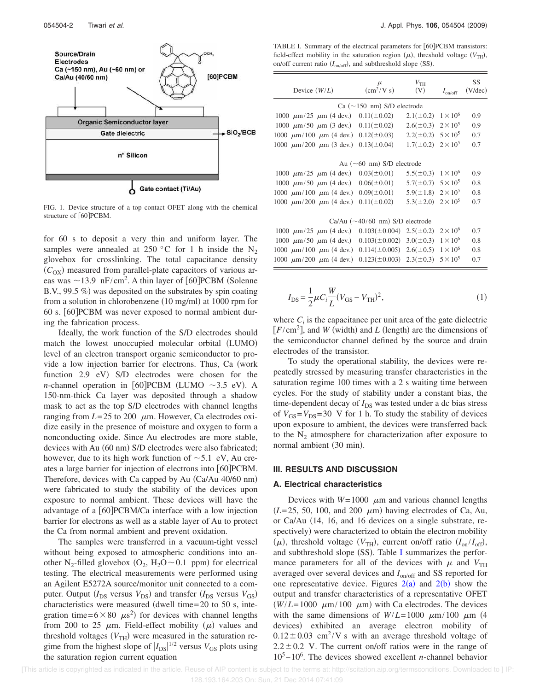

FIG. 1. Device structure of a top contact OFET along with the chemical structure of [60]PCBM.

for 60 s to deposit a very thin and uniform layer. The samples were annealed at 250 °C for 1 h inside the  $N_2$ glovebox for crosslinking. The total capacitance density  $(C_{\text{OX}})$  measured from parallel-plate capacitors of various areas was  $\sim$ 13.9 nF/cm<sup>2</sup>. A thin layer of [60]PCBM (Solenne B.V., 99.5  $\%$ ) was deposited on the substrates by spin coating from a solution in chlorobenzene (10 mg/ml) at 1000 rpm for 60 s. [60] PCBM was never exposed to normal ambient during the fabrication process.

Ideally, the work function of the S/D electrodes should match the lowest unoccupied molecular orbital (LUMO) level of an electron transport organic semiconductor to provide a low injection barrier for electrons. Thus, Ca (work function 2.9 eV) S/D electrodes were chosen for the *n*-channel operation in [60] PCBM (LUMO  $\sim$ 3.5 eV). A 150-nm-thick Ca layer was deposited through a shadow mask to act as the top S/D electrodes with channel lengths ranging from  $L=25$  to 200  $\mu$ m. However, Ca electrodes oxidize easily in the presence of moisture and oxygen to form a nonconducting oxide. Since Au electrodes are more stable, devices with Au (60 nm) S/D electrodes were also fabricated; however, due to its high work function of  $\sim$  5.1 eV, Au creates a large barrier for injection of electrons into [60]PCBM. Therefore, devices with Ca capped by Au (Ca/Au 40/60 nm) were fabricated to study the stability of the devices upon exposure to normal ambient. These devices will have the advantage of a  $\vert$  60 | PCBM/Ca interface with a low injection barrier for electrons as well as a stable layer of Au to protect the Ca from normal ambient and prevent oxidation.

The samples were transferred in a vacuum-tight vessel without being exposed to atmospheric conditions into another N<sub>2</sub>-filled glovebox  $(O_2, H_2O \sim 0.1$  ppm) for electrical testing. The electrical measurements were performed using an Agilent E5272A source/monitor unit connected to a computer. Output  $(I_{DS}$  versus  $V_{DS}$ ) and transfer  $(I_{DS}$  versus  $V_{GS}$ ) characteristics were measured (dwell time= $20$  to  $50$  s, integration time=6×80  $\mu$ s<sup>2</sup>) for devices with channel lengths from 200 to 25  $\mu$ m. Field-effect mobility  $(\mu)$  values and threshold voltages  $(V<sub>TH</sub>)$  were measured in the saturation regime from the highest slope of  $|I_{DS}|^{1/2}$  versus  $V_{GS}$  plots using the saturation region current equation

TABLE I. Summary of the electrical parameters for [60]PCBM transistors: field-effect mobility in the saturation region  $(\mu)$ , threshold voltage  $(V_{TH})$ , on/off current ratio  $(I_{on/off})$ , and subthreshold slope (SS).

|                                                                       |                                       |                                | $I_{\text{on/off}}$ | $(V/\text{dec})$ |
|-----------------------------------------------------------------------|---------------------------------------|--------------------------------|---------------------|------------------|
|                                                                       | $Ca$ ( $\sim$ 150 nm) S/D electrode   |                                |                     |                  |
| 1000 $\mu$ m/25 $\mu$ m (4 dev.) 0.11(±0.02)                          |                                       | $2.1(\pm 0.2)$                 | $1 \times 10^6$     | 0.9              |
| 1000 $\mu$ m/50 $\mu$ m (3 dev.) 0.11(±0.02)                          |                                       | $2.6(\pm 0.3)$                 | $2 \times 10^5$     | 0.9              |
| 1000 $\mu$ m/100 $\mu$ m (4 dev.) 0.12( $\pm$ 0.03)                   |                                       | $2.2(\pm 0.2)$ $5 \times 10^5$ |                     | 0.7              |
| 1000 $\mu$ m/200 $\mu$ m (3 dev.)                                     | $0.13(\pm 0.04)$                      | $1.7(\pm 0.2)$                 | $2 \times 10^5$     | 0.7              |
|                                                                       |                                       |                                |                     |                  |
|                                                                       | Au $(\sim 60$ nm) S/D electrode       |                                |                     |                  |
| 1000 $\mu$ m/25 $\mu$ m (4 dev.)                                      | $0.03(\pm 0.01)$                      | $5.5(\pm 0.3)$                 | $1 \times 10^6$     | 0.9              |
| 1000 $\mu$ m/50 $\mu$ m (4 dev.) 0.06(±0.01)                          |                                       | $5.7(\pm 0.7)$ $5 \times 10^5$ |                     | 0.8              |
| 1000 $\mu$ m/100 $\mu$ m (4 dev.) 0.09(±0.01)                         |                                       | $5.9(\pm 1.8)$                 | $2\times10^5$       | 0.8              |
| 1000 $\mu$ m/200 $\mu$ m (4 dev.)                                     | $0.11 (\pm 0.02)$                     | $5.3(\pm 2.0)$                 | $2 \times 10^5$     | 0.7              |
|                                                                       |                                       |                                |                     |                  |
|                                                                       | Ca/Au $(\sim 40/60$ nm) S/D electrode |                                |                     |                  |
| 1000 $\mu$ m/25 $\mu$ m (4 dev.)                                      | $0.103(\pm 0.004)$                    | $2.5(\pm 0.2)$                 | $2\times10^6$       | 0.7              |
| 1000 $\mu$ m/50 $\mu$ m (4 dev.) 0.103(±0.002)                        |                                       | $3.0(\pm 0.3)$                 | $1 \times 10^6$     | 0.8              |
| 1000 $\mu$ m/100 $\mu$ m (4 dev.) 0.114(±0.005) 2.6(±0.5)             |                                       |                                | $1 \times 10^6$     | 0.8              |
| 1000 $\mu$ m/200 $\mu$ m (4 dev.) 0.123( $\pm$ 0.003) 2.3( $\pm$ 0.3) |                                       |                                | $5 \times 10^5$     | 0.7              |
|                                                                       |                                       |                                |                     |                  |

$$
I_{\rm DS} = \frac{1}{2} \mu C_i \frac{W}{L} (V_{\rm GS} - V_{\rm TH})^2,
$$
 (1)

where  $C_i$  is the capacitance per unit area of the gate dielectric  $[F/cm<sup>2</sup>]$ , and *W* (width) and *L* (length) are the dimensions of the semiconductor channel defined by the source and drain electrodes of the transistor.

To study the operational stability, the devices were repeatedly stressed by measuring transfer characteristics in the saturation regime 100 times with a 2 s waiting time between cycles. For the study of stability under a constant bias, the time-dependent decay of  $I_{DS}$  was tested under a dc bias stress of  $V_{GS} = V_{DS} = 30$  V for 1 h. To study the stability of devices upon exposure to ambient, the devices were transferred back to the  $N_2$  atmosphere for characterization after exposure to normal ambient (30 min).

#### **III. RESULTS AND DISCUSSION**

# **A. Electrical characteristics**

Devices with  $W=1000 \mu$ m and various channel lengths  $(L=25, 50, 100, \text{ and } 200 \mu \text{m})$  having electrodes of Ca, Au, or Ca/Au 14, 16, and 16 devices on a single substrate, respectively) were characterized to obtain the electron mobility  $(\mu)$ , threshold voltage  $(V_{TH})$ , current on/off ratio  $(I_{on}/I_{off})$ , and subthreshold slope  $(SS)$ . Table I summarizes the performance parameters for all of the devices with  $\mu$  and  $V_{TH}$ averaged over several devices and *I*on/off and SS reported for one representative device. Figures  $2(a)$  and  $2(b)$  show the output and transfer characteristics of a representative OFET  $(W/L=1000 \mu m/100 \mu m)$  with Ca electrodes. The devices with the same dimensions of  $W/L = 1000 \mu m/100 \mu m$  (4) devices) exhibited an average electron mobility of  $0.12 \pm 0.03$  cm<sup>2</sup>/V s with an average threshold voltage of  $2.2 \pm 0.2$  V. The current on/off ratios were in the range of  $10<sup>5</sup> - 10<sup>6</sup>$ . The devices showed excellent *n*-channel behavior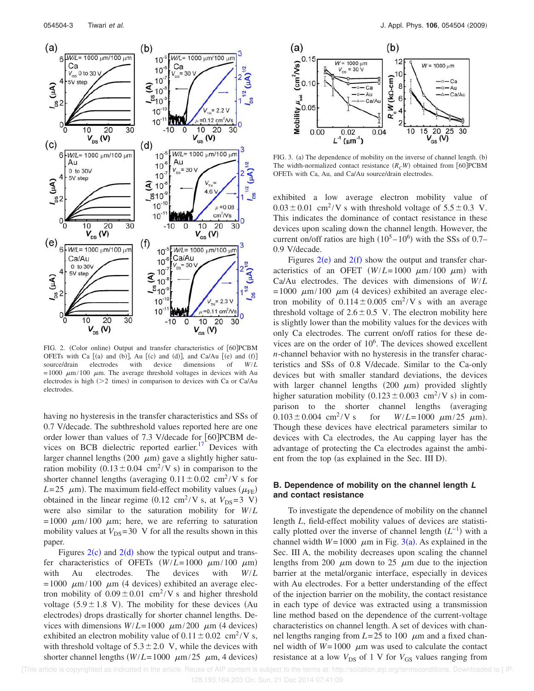

FIG. 2. (Color online) Output and transfer characteristics of [60]PCBM OFETs with Ca  $[(a)$  and  $(b)]$ , Au  $[(c)$  and  $(d)]$ , and Ca/Au  $[(e)$  and  $(f)]$ source/drain electrodes with device dimensions of *W*/*L* =1000  $\mu$ m/100  $\mu$ m. The average threshold voltages in devices with Au electrodes is high  $(>= 2$  times) in comparison to devices with Ca or Ca/Au electrodes.

having no hysteresis in the transfer characteristics and SSs of 0.7 V/decade. The subthreshold values reported here are one order lower than values of 7.3 V/decade for [60]PCBM devices on BCB dielectric reported earlier.<sup>17</sup> Devices with larger channel lengths (200  $\mu$ m) gave a slightly higher saturation mobility  $(0.13 \pm 0.04 \text{ cm}^2/\text{V s})$  in comparison to the shorter channel lengths (averaging  $0.11 \pm 0.02$  cm<sup>2</sup>/V s for  $L=25$   $\mu$ m). The maximum field-effect mobility values ( $\mu$ <sub>FE</sub>) obtained in the linear regime  $(0.12 \text{ cm}^2/\text{V s}, \text{ at } V_{DS}=3 \text{ V})$ were also similar to the saturation mobility for *W*/*L* =1000  $\mu$ m/100  $\mu$ m; here, we are referring to saturation mobility values at  $V_{DS}$ =30 V for all the results shown in this paper.

Figures  $2(c)$  and  $2(d)$  show the typical output and transfer characteristics of OFETs  $(W/L=1000 \ \mu m/100 \ \mu m)$ with Au electrodes. The devices with *W*/*L*  $=1000 \mu m/100 \mu m$  (4 devices) exhibited an average electron mobility of  $0.09 \pm 0.01$  cm<sup>2</sup>/V s and higher threshold voltage  $(5.9 \pm 1.8 \text{ V})$ . The mobility for these devices (Au electrodes) drops drastically for shorter channel lengths. Devices with dimensions  $W/L = 1000 \mu m/200 \mu m$  (4 devices) exhibited an electron mobility value of  $0.11 \pm 0.02$  cm<sup>2</sup>/V s, with threshold voltage of  $5.3 \pm 2.0$  V, while the devices with shorter channel lengths  $(W/L=1000 \mu m/25 \mu m, 4$  devices)



FIG. 3. (a) The dependence of mobility on the inverse of channel length. (b) The width-normalized contact resistance  $(R<sub>C</sub>W)$  obtained from [60]PCBM OFETs with Ca, Au, and Ca/Au source/drain electrodes.

exhibited a low average electron mobility value of  $0.03 \pm 0.01$  cm<sup>2</sup>/V s with threshold voltage of  $5.5 \pm 0.3$  V. This indicates the dominance of contact resistance in these devices upon scaling down the channel length. However, the current on/off ratios are high  $(10^5 - 10^6)$  with the SSs of 0.7– 0.9 V/decade.

Figures  $2(e)$  and  $2(f)$  show the output and transfer characteristics of an OFET  $(W/L=1000 \ \mu m/100 \ \mu m)$  with Ca/Au electrodes. The devices with dimensions of *W*/*L*  $=1000 \mu m/100 \mu m$  (4 devices) exhibited an average electron mobility of  $0.114 \pm 0.005$  cm<sup>2</sup>/V s with an average threshold voltage of  $2.6 \pm 0.5$  V. The electron mobility here is slightly lower than the mobility values for the devices with only Ca electrodes. The current on/off ratios for these devices are on the order of  $10<sup>6</sup>$ . The devices showed excellent *n*-channel behavior with no hysteresis in the transfer characteristics and SSs of 0.8 V/decade. Similar to the Ca-only devices but with smaller standard deviations, the devices with larger channel lengths  $(200 \mu m)$  provided slightly higher saturation mobility  $(0.123 \pm 0.003 \text{ cm}^2/\text{V s})$  in comparison to the shorter channel lengths (averaging  $0.103 \pm 0.004$  cm<sup>2</sup>/V s /V s for  $W/L = 1000 \mu m/25 \mu m$ . Though these devices have electrical parameters similar to devices with Ca electrodes, the Au capping layer has the advantage of protecting the Ca electrodes against the ambient from the top (as explained in the Sec. III D).

# **B. Dependence of mobility on the channel length L and contact resistance**

To investigate the dependence of mobility on the channel length *L*, field-effect mobility values of devices are statistically plotted over the inverse of channel length  $(L^{-1})$  with a channel width  $W=1000 \mu m$  in Fig. 3(a). As explained in the Sec. III A, the mobility decreases upon scaling the channel lengths from 200  $\mu$ m down to 25  $\mu$ m due to the injection barrier at the metal/organic interface, especially in devices with Au electrodes. For a better understanding of the effect of the injection barrier on the mobility, the contact resistance in each type of device was extracted using a transmission line method based on the dependence of the current-voltage characteristics on channel length. A set of devices with channel lengths ranging from  $L=25$  to 100  $\mu$ m and a fixed channel width of  $W=1000 \mu m$  was used to calculate the contact resistance at a low  $V_{DS}$  of 1 V for  $V_{GS}$  values ranging from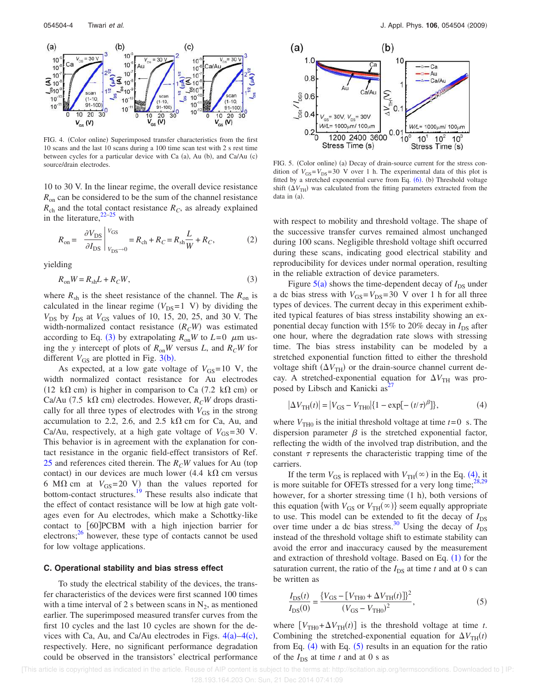

FIG. 4. (Color online) Superimposed transfer characteristics from the first 10 scans and the last 10 scans during a 100 time scan test with 2 s rest time between cycles for a particular device with Ca (a), Au (b), and Ca/Au (c)

10 to 30 V. In the linear regime, the overall device resistance *R*<sub>on</sub> can be considered to be the sum of the channel resistance  $R<sub>ch</sub>$  and the total contact resistance  $R<sub>C</sub>$ , as already explained in the literature, $22-25$  with

$$
R_{\text{on}} = \left. \frac{\partial V_{\text{DS}}}{\partial I_{\text{DS}}} \right|_{V_{\text{DS}} \to 0}^{V_{\text{GS}}} = R_{\text{ch}} + R_C = R_{\text{sh}} \frac{L}{W} + R_C, \tag{2}
$$

yielding

$$
R_{\rm on}W = R_{\rm sh}L + R_C W,\tag{3}
$$

where  $R_{\rm sh}$  is the sheet resistance of the channel. The  $R_{\rm on}$  is calculated in the linear regime  $(V_{DS}=1 \text{ V})$  by dividing the *V*<sub>DS</sub> by *I*<sub>DS</sub> at *V*<sub>GS</sub> values of 10, 15, 20, 25, and 30 V. The width-normalized contact resistance  $(R<sub>C</sub>W)$  was estimated according to Eq. (3) by extrapolating  $R_{on}W$  to  $L=0$   $\mu$ m using the *y* intercept of plots of *R*on*W* versus *L*, and *RCW* for different  $V_{GS}$  are plotted in Fig. 3(b).

As expected, at a low gate voltage of  $V_{GS}$ =10 V, the width normalized contact resistance for Au electrodes (12 k $\Omega$  cm) is higher in comparison to Ca (7.2 k $\Omega$  cm) or Ca/Au (7.5 k $\Omega$  cm) electrodes. However,  $R_C W$  drops drastically for all three types of electrodes with  $V_{GS}$  in the strong accumulation to 2.2, 2.6, and 2.5  $k\Omega$  cm for Ca, Au, and Ca/Au, respectively, at a high gate voltage of  $V_{GS}$ =30 V. This behavior is in agreement with the explanation for contact resistance in the organic field-effect transistors of Ref. 25 and references cited therein. The  $R<sub>C</sub>W$  values for Au (top contact) in our devices are much lower (4.4 k $\Omega$  cm versus 6 M $\Omega$  cm at  $V_{GS}$ =20 V) than the values reported for bottom-contact structures.<sup>19</sup> These results also indicate that the effect of contact resistance will be low at high gate voltages even for Au electrodes, which make a Schottky-like contact to [60]PCBM with a high injection barrier for electrons; $26$  however, these type of contacts cannot be used for low voltage applications.

#### **C. Operational stability and bias stress effect**

To study the electrical stability of the devices, the transfer characteristics of the devices were first scanned 100 times with a time interval of 2 s between scans in  $N_2$ , as mentioned earlier. The superimposed measured transfer curves from the first 10 cycles and the last 10 cycles are shown for the devices with Ca, Au, and Ca/Au electrodes in Figs.  $4(a) - 4(c)$ , respectively. Here, no significant performance degradation could be observed in the transistors' electrical performance



source/drain electrodes. THG. 5. (Color online) (a) Decay of drain-source current for the stress condition of  $V_{GS} = V_{DS} = 30$  V over 1 h. The experimental data of this plot is fitted by a stretched exponential curve from Eq.  $(6)$ . (b) Threshold voltage shift  $(\Delta V_{\text{TH}})$  was calculated from the fitting parameters extracted from the data in (a).

with respect to mobility and threshold voltage. The shape of the successive transfer curves remained almost unchanged during 100 scans. Negligible threshold voltage shift occurred during these scans, indicating good electrical stability and reproducibility for devices under normal operation, resulting in the reliable extraction of device parameters.

Figure  $5(a)$  shows the time-dependent decay of  $I_{DS}$  under a dc bias stress with  $V_{GS} = V_{DS} = 30$  V over 1 h for all three types of devices. The current decay in this experiment exhibited typical features of bias stress instability showing an exponential decay function with 15% to 20% decay in  $I_{DS}$  after one hour, where the degradation rate slows with stressing time. The bias stress instability can be modeled by a stretched exponential function fitted to either the threshold voltage shift  $(\Delta V_{TH})$  or the drain-source channel current decay. A stretched-exponential equation for  $\Delta V_{\text{TH}}$  was proposed by Libsch and Kanicki  $\text{as}^{27}$ 

$$
|\Delta V_{\text{TH}}(t)| = |V_{\text{GS}} - V_{\text{TH0}}| \{ 1 - \exp[-(t/\tau)^{\beta}] \},
$$
 (4)

where  $V_{\text{TH0}}$  is the initial threshold voltage at time  $t=0$  s. The dispersion parameter  $\beta$  is the stretched exponential factor, reflecting the width of the involved trap distribution, and the constant  $\tau$  represents the characteristic trapping time of the carriers.

If the term  $V_{GS}$  is replaced with  $V_{TH}(\infty)$  in the Eq. (4), it is more suitable for OFETs stressed for a very long time;<sup>28,29</sup> however, for a shorter stressing time (1 h), both versions of this equation {with  $V_{GS}$  or  $V_{TH}(\infty)$ } seem equally appropriate to use. This model can be extended to fit the decay of  $I_{DS}$ over time under a dc bias stress.<sup>30</sup> Using the decay of  $I_{DS}$ instead of the threshold voltage shift to estimate stability can avoid the error and inaccuracy caused by the measurement and extraction of threshold voltage. Based on Eq.  $(1)$  for the saturation current, the ratio of the  $I_{DS}$  at time  $t$  and at 0 s can be written as

$$
\frac{I_{\rm DS}(t)}{I_{\rm DS}(0)} = \frac{\{V_{\rm GS} - [V_{\rm TH0} + \Delta V_{\rm TH}(t)]\}^2}{(V_{\rm GS} - V_{\rm TH0})^2},\tag{5}
$$

where  $[V_{TH0} + \Delta V_{TH}(t)]$  is the threshold voltage at time *t*. Combining the stretched-exponential equation for  $\Delta V_{TH}(t)$ from Eq.  $(4)$  with Eq.  $(5)$  results in an equation for the ratio of the  $I_{DS}$  at time  $t$  and at 0 s as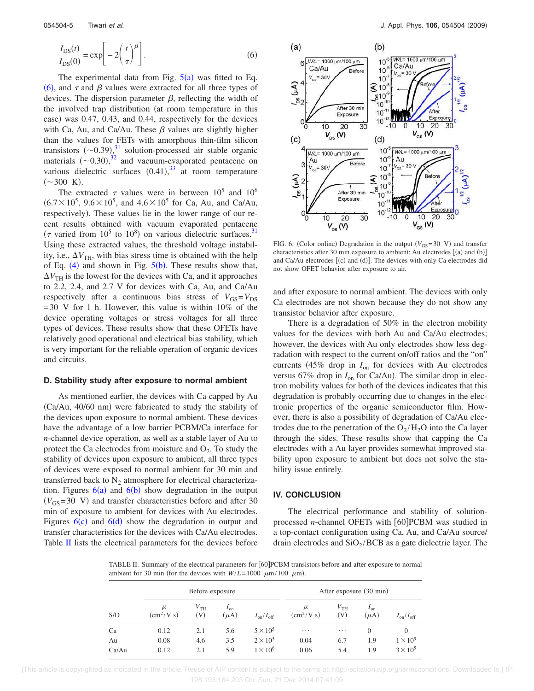$$
\frac{I_{\rm DS}(t)}{I_{\rm DS}(0)} = \exp\bigg[-2\bigg(\frac{t}{\tau}\bigg)^{\beta}\bigg].\tag{6}
$$

The experimental data from Fig.  $5(a)$  was fitted to Eq. (6), and  $\tau$  and  $\beta$  values were extracted for all three types of devices. The dispersion parameter  $\beta$ , reflecting the width of the involved trap distribution (at room temperature in this case) was 0.47, 0.43, and 0.44, respectively for the devices with Ca, Au, and Ca/Au. These  $\beta$  values are slightly higher than the values for FETs with amorphous thin-film silicon transistors  $(\sim 0.39)$ , <sup>31</sup> solution-processed air stable organic materials  $(\sim 0.30),^{32}$  and vacuum-evaporated pentacene on various dielectric surfaces  $(0.41),^{33}$  at room temperature  $({\sim}300 \text{ K}).$ 

The extracted  $\tau$  values were in between 10<sup>5</sup> and 10<sup>6</sup>  $(6.7 \times 10^5, 9.6 \times 10^5, \text{ and } 4.6 \times 10^5 \text{ for Ca, Au, and Ca/Au, }$ respectively). These values lie in the lower range of our recent results obtained with vacuum evaporated pentacene ( $\tau$  varied from 10<sup>5</sup> to 10<sup>8</sup>) on various dielectric surfaces.<sup>31</sup> Using these extracted values, the threshold voltage instability, i.e.,  $\Delta V_{\text{TH}}$ , with bias stress time is obtained with the help of Eq.  $(4)$  and shown in Fig.  $5(b)$ . These results show that,  $\Delta V_{\text{TH}}$  is the lowest for the devices with Ca, and it approaches to 2.2, 2.4, and 2.7 V for devices with Ca, Au, and Ca/Au respectively after a continuous bias stress of  $V_{GS} = V_{DS}$  $=30$  V for 1 h. However, this value is within 10% of the device operating voltages or stress voltages for all three types of devices. These results show that these OFETs have relatively good operational and electrical bias stability, which is very important for the reliable operation of organic devices and circuits.

## **D. Stability study after exposure to normal ambient**

As mentioned earlier, the devices with Ca capped by Au  $(Ca/Au, 40/60)$  nm) were fabricated to study the stability of the devices upon exposure to normal ambient. These devices have the advantage of a low barrier PCBM/Ca interface for *n*-channel device operation, as well as a stable layer of Au to protect the Ca electrodes from moisture and  $O_2$ . To study the stability of devices upon exposure to ambient, all three types of devices were exposed to normal ambient for 30 min and transferred back to  $N_2$  atmosphere for electrical characterization. Figures  $6(a)$  and  $6(b)$  show degradation in the output  $(V_{GS} = 30 \text{ V})$  and transfer characteristics before and after 30 min of exposure to ambient for devices with Au electrodes. Figures  $6(c)$  and  $6(d)$  show the degradation in output and transfer characteristics for the devices with Ca/Au electrodes. Table II lists the electrical parameters for the devices before



FIG. 6. (Color online) Degradation in the output  $(V_{GS}=30 \text{ V})$  and transfer characteristics after 30 min exposure to ambient: Au electrodes  $[(a)$  and  $(b)]$ and Ca/Au electrodes  $[(c)$  and  $(d)]$ . The devices with only Ca electrodes did not show OFET behavior after exposure to air.

and after exposure to normal ambient. The devices with only Ca electrodes are not shown because they do not show any transistor behavior after exposure.

There is a degradation of 50% in the electron mobility values for the devices with both Au and Ca/Au electrodes; however, the devices with Au only electrodes show less degradation with respect to the current on/off ratios and the "on" currents 45% drop in *I*on for devices with Au electrodes versus  $67\%$  drop in  $I_{\text{on}}$  for Ca/Au). The similar drop in electron mobility values for both of the devices indicates that this degradation is probably occurring due to changes in the electronic properties of the organic semiconductor film. However, there is also a possibility of degradation of Ca/Au electrodes due to the penetration of the  $O_2/H_2O$  into the Ca layer through the sides. These results show that capping the Ca electrodes with a Au layer provides somewhat improved stability upon exposure to ambient but does not solve the stability issue entirely.

### **IV. CONCLUSION**

The electrical performance and stability of solutionprocessed *n*-channel OFETs with [60]PCBM was studied in a top-contact configuration using Ca, Au, and Ca/Au source/ drain electrodes and  $SiO<sub>2</sub>/BCB$  as a gate dielectric layer. The

TABLE II. Summary of the electrical parameters for [60]PCBM transistors before and after exposure to normal ambient for 30 min (for the devices with  $W/L = 1000 \mu m/100 \mu m$ ).

| S/D   | Before exposure                |                                               |                       | After exposure (30 min)        |                   |                        |                       |                                |
|-------|--------------------------------|-----------------------------------------------|-----------------------|--------------------------------|-------------------|------------------------|-----------------------|--------------------------------|
|       | μ<br>$\text{cm}^2/\text{V}$ s) | $V_{\text{TH}}$<br>$\left( \mathrm{V}\right)$ | $I_{on}$<br>$(\mu A)$ | $I_{\text{on}}/I_{\text{off}}$ | μ<br>$(cm^2/V s)$ | $V_{\text{TH}}$<br>(V) | $I_{on}$<br>$(\mu A)$ | $I_{\text{on}}/I_{\text{off}}$ |
| Ca    | 0.12                           | 2.1                                           | 5.6                   | $5 \times 10^5$                | $\cdots$          | $\cdots$               | $\Omega$              |                                |
| Au    | 0.08                           | 4.6                                           | 3.5                   | $2 \times 10^5$                | 0.04              | 6.7                    | 1.9                   | $1 \times 10^5$                |
| Ca/Au | 0.12                           | 2.1                                           | 5.9                   | $1 \times 10^6$                | 0.06              | 5.4                    | 1.9                   | $3 \times 10^5$                |

 [This article is copyrighted as indicated in the article. Reuse of AIP content is subject to the terms at: http://scitation.aip.org/termsconditions. Downloaded to ] IP: 128.193.164.203 On: Sun, 21 Dec 2014 07:41:09